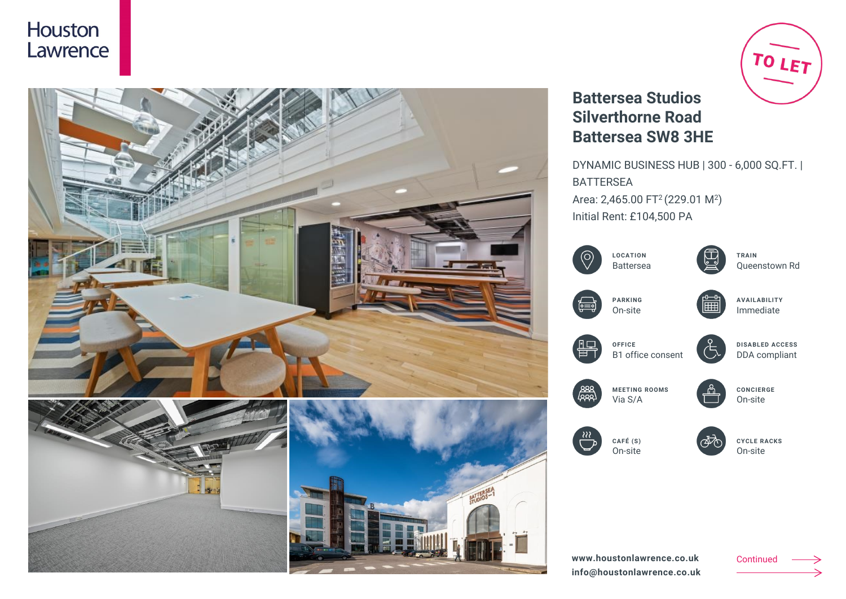



# TO LET

## **Battersea Studios Silverthorne Road Battersea SW8 3HE**

DYNAMIC BUSINESS HUB | 300 - 6,000 SQ.FT. | BATTERSEA Area: 2,465.00 FT<sup>2</sup> (229.01 M<sup>2</sup>) Initial Rent: £104,500 PA



**www.houstonlawrence.co.uk info@houstonlawrence.co.uk** Continued